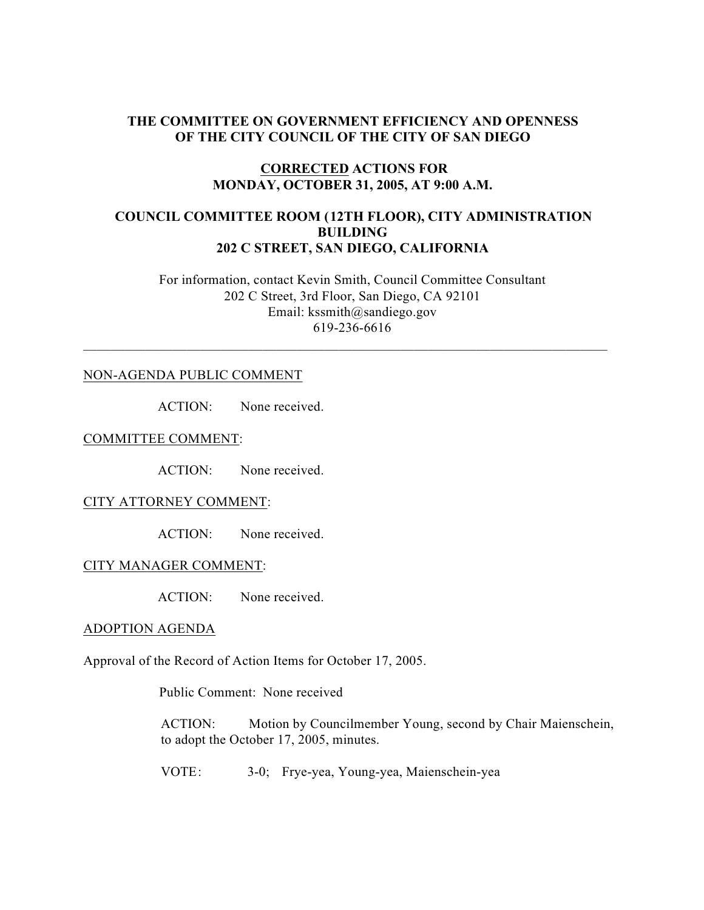## **THE COMMITTEE ON GOVERNMENT EFFICIENCY AND OPENNESS OF THE CITY COUNCIL OF THE CITY OF SAN DIEGO**

### **CORRECTED ACTIONS FOR MONDAY, OCTOBER 31, 2005, AT 9:00 A.M.**

## **COUNCIL COMMITTEE ROOM (12TH FLOOR), CITY ADMINISTRATION BUILDING 202 C STREET, SAN DIEGO, CALIFORNIA**

 For information, contact Kevin Smith, Council Committee Consultant 202 C Street, 3rd Floor, San Diego, CA 92101 Email: kssmith@sandiego.gov 619-236-6616

 $\_$  , and the set of the set of the set of the set of the set of the set of the set of the set of the set of the set of the set of the set of the set of the set of the set of the set of the set of the set of the set of th

#### NON-AGENDA PUBLIC COMMENT

ACTION: None received.

COMMITTEE COMMENT:

ACTION: None received.

#### CITY ATTORNEY COMMENT:

ACTION: None received.

#### CITY MANAGER COMMENT:

ACTION: None received.

#### ADOPTION AGENDA

Approval of the Record of Action Items for October 17, 2005.

Public Comment: None received

ACTION: Motion by Councilmember Young, second by Chair Maienschein, to adopt the October 17, 2005, minutes.

VOTE: 3-0; Frye-yea, Young-yea, Maienschein-yea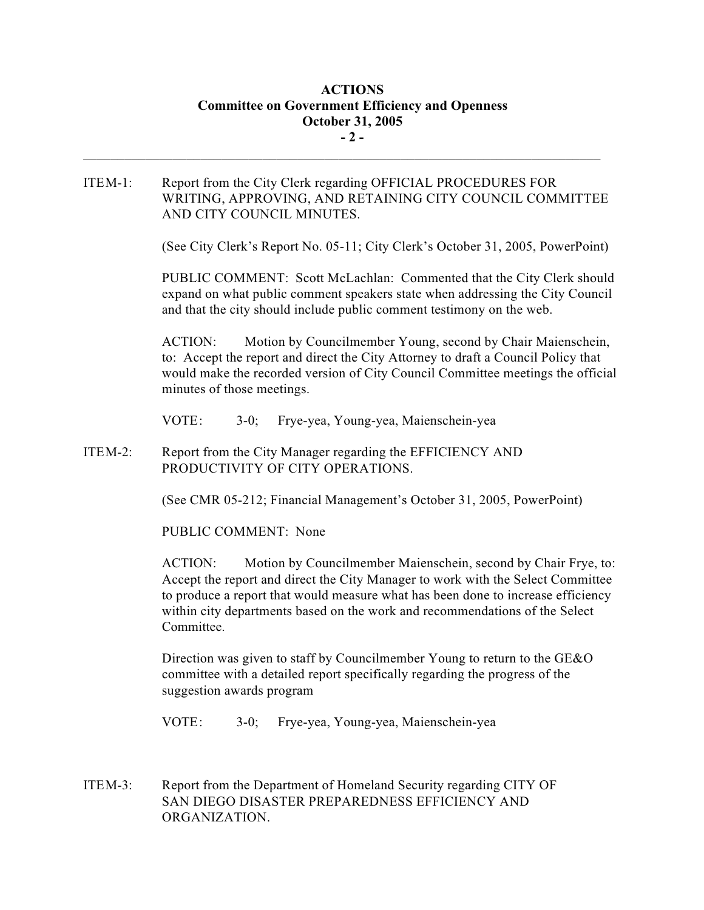# **ACTIONS Committee on Government Efficiency and Openness October 31, 2005 - 2 -**

ITEM-1: Report from the City Clerk regarding OFFICIAL PROCEDURES FOR WRITING, APPROVING, AND RETAINING CITY COUNCIL COMMITTEE AND CITY COUNCIL MINUTES.

 $\mathcal{L}_\text{max}$ 

(See City Clerk's Report No. 05-11; City Clerk's October 31, 2005, PowerPoint)

PUBLIC COMMENT: Scott McLachlan: Commented that the City Clerk should expand on what public comment speakers state when addressing the City Council and that the city should include public comment testimony on the web.

ACTION: Motion by Councilmember Young, second by Chair Maienschein, to: Accept the report and direct the City Attorney to draft a Council Policy that would make the recorded version of City Council Committee meetings the official minutes of those meetings.

VOTE: 3-0; Frye-yea, Young-yea, Maienschein-yea

ITEM-2: Report from the City Manager regarding the EFFICIENCY AND PRODUCTIVITY OF CITY OPERATIONS.

(See CMR 05-212; Financial Management's October 31, 2005, PowerPoint)

PUBLIC COMMENT: None

ACTION: Motion by Councilmember Maienschein, second by Chair Frye, to: Accept the report and direct the City Manager to work with the Select Committee to produce a report that would measure what has been done to increase efficiency within city departments based on the work and recommendations of the Select Committee.

Direction was given to staff by Councilmember Young to return to the GE&O committee with a detailed report specifically regarding the progress of the suggestion awards program

VOTE: 3-0; Frye-yea, Young-yea, Maienschein-yea

ITEM-3: Report from the Department of Homeland Security regarding CITY OF SAN DIEGO DISASTER PREPAREDNESS EFFICIENCY AND ORGANIZATION.